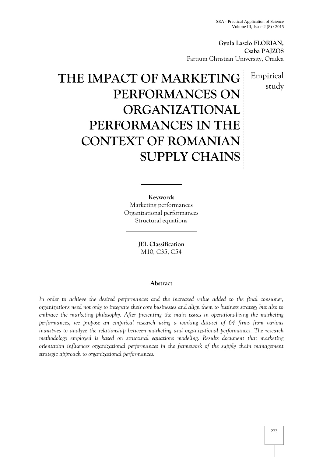**Gyula Laszlo FLORIAN, Csaba PAJZOS** Partium Christian University, Oradea

> Empirical study

# **THE IMPACT OF MARKETING PERFORMANCES ON ORGANIZATIONAL PERFORMANCES IN THE CONTEXT OF ROMANIAN SUPPLY CHAINS**

**Keywords** Marketing performances Organizational performances Structural equations

> **JEL Classification** M10, C35, C54

# **Abstract**

*In order to achieve the desired performances and the increased value added to the final consumer, organizations need not only to integrate their core businesses and align them to business strategy but also to embrace the marketing philosophy. After presenting the main issues in operationalizing the marketing performances, we propose an empirical research using a working dataset of 64 firms from various industries to analyze the relationship between marketing and organizational performances. The research methodology employed is based on structural equations modeling. Results document that marketing orientation influences organizational performances in the framework of the supply chain management strategic approach to organizational performances.*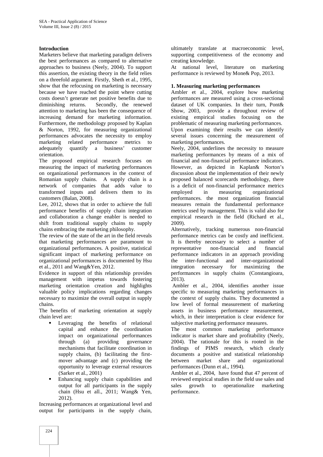### **Introduction**

Marketers believe that marketing paradigm delivers the best performances as compared to alternative approaches to business (Neely, 2004). To support this assertion, the existing theory in the field relies on a threefold argument. Firstly, Sheth et al., 1995, show that the refocusing on marketing is necessary because we have reached the point where cutting costs doesn't generate net positive benefits due to<br>diminishing returns. Secondly, the renewed Secondly, the renewed attention to marketing has been the consequence of increasing demand for marketing information. Furthermore, the methodology proposed by Kaplan & Norton, 1992, for measuring organizational performances advocates the necessity to employ marketing related performance metrics to adequately quantify a business' customer orientation.

The proposed empirical research focuses on measuring the impact of marketing performances on organizational performances in the context of Romanian supply chains. A supply chain is a network of companies that adds value to transformed inputs and delivers them to its customers (Balan, 2008).

Lee, 2012, shows that in order to achieve the full performance benefits of supply chain integration and collaboration a change enabler is needed to shift from traditional supply chains to supply chains embracing the marketing philosophy.

The review of the state of the art in the field reveals that marketing performances are paramount to organizational performances. A positive, statistical significant impact of marketing performance on organizational performances is documented by Hsu et al., 2011 and Wang&Yen, 2012.

Evidence in support of this relationship provides management with impetus towards fostering marketing orientation creation and highlights valuable policy implications regarding changes necessary to maximize the overall output in supply chains.

The benefits of marketing orientation at supply chain level are:

- **Leveraging the benefits of relational** capital and enhance the coordination impact on organizational performances through (a) providing governance mechanisms that facilitate coordination in supply chains, (b) facilitating the first mover advantage and (c) providing the opportunity to leverage external resources (Sarker et al., 2001)
- **Enhancing supply chain capabilities and** output for all participants in the supply chain (Hsu et all., 2011; Wang& Yen, 2012).

Increasing performances at organizational level and output for participants in the supply chain,

ultimately translate at macroeconomic level, supporting competitiveness of the economy and creating knowledge.

At national level, literature on marketing performance is reviewed by Mone& Pop, 2013.

#### **1. Measuring marketing performances**

Ambler et al., 2004, explore how marketing performances are measured using a cross-sectional dataset of UK companies. In their turn, Pont& Show, 2003, provide a throughout review of existing empirical studies focusing on the problematic of measuring marketing performances. Upon examining their results we can identify several issues concerning the measurement of marketing performances.

Neely, 2004, underlines the necessity to measure marketing performances by means of a mix of financial and non-financial performance indicators. However, as depicted in Kaplan& Norton's discussion about the implementation of their newly proposed balanced scorecards methodology, there is a deficit of non-financial performance metrics employed in measuring organizational performances. the most organization financial measures remain the fundamental performance metrics used by management. This is valid also for empirical research in the field (Richard et al., 2009).

Alternatively, tracking numerous non-financial performance metrics can be costly and inefficient. It is thereby necessary to select a number of representative non-financial and financial performance indicators in an approach providing inter-functional and inter-organizational integration necessary for maximizing the performances in supply chains (Constangioara, 2013).

Ambler et al., 2004, identifies another issue specific to measuring marketing performances in the context of supply chains. They documented a low level of formal measurement of marketing assets in business performance measurement, which, in their interpretation is clear evidence for subjective marketing performance measures.

The most common marketing performance indicator is market share and profitability (Neely, 2004). The rationale for this is rooted in the findings of PIMS research, which clearly documents a positive and statistical relationship between market share and organizational performances (Dunn et al., 1994).

Ambler et al., 2004, have found that 47 percent of reviewed empirical studies in the field use sales and growth to operationalize marketing performance.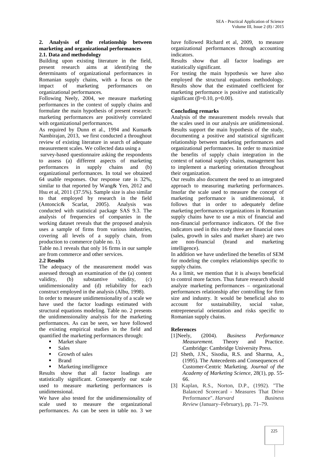#### **2. Analysis of the relationship between marketing and organizational performances 2.1. Data and methodology**

Building upon existing literature in the field, present research aims at identifying the determinants of organizational performances in Romanian supply chains, with a focus on the impact of marketing performances on performances on organizational performances.

Following Neely, 2004, we measure marketing performances in the context of supply chains and formulate the main hypothesis of present research: marketing performances are positively correlated with organizational performances.

As required by Dunn et al., 1994 and Kumar& Nambirajan, 2013, we first conducted a throughout review of existing literature in search of adequate measurement scales. We collected data using a

survey-based questionnaire asking the respondents to assess (a) different aspects of marketing performances in supply chains and (b) organizational performances. In total we obtained 64 usable responses. Our response rate is 32%, similar to that reported by Wang& Yen, 2012 and Hsu et al, 2011 (37.5%). Sample size is also similar to that employed by research in the field (Antoncic& Scarlat, 2005). Analysis was conducted with statistical package SAS 9.3. The analysis of frequencies of companies in the working dataset reveals that the proposed analysis uses a sample of firms from various industries, covering all levels of a supply chain, from production to commerce (table no. 1).

Table no.1 reveals that only 16 firms in our sample are from commerce and other services.

# **2.2 Results**

The adequacy of the measurement model was assessed through an examination of the (a) content validity, (b) substantive validity, (c) unidimensionality and (d) reliability for each construct employed in the analysis (Albu, 1998).

In order to measure unidimensionality of a scale we have used the factor loadings estimated with account structural equations modeling. Table no. 2 presents the unidimensionality analysis for the marketing performances. As can be seen, we have followed the existing empirical studies in the field and quantified the marketing performances through:

- **Market share**
- Sales
- Growth of sales
- $\blacksquare$  Rrand
- Marketing intelligence

Results show that all factor loadings are statistically significant. Consequently our scale used to measure marketing performances is unidimensional.

We have also tested for the unidimensionality of scale used to measure the organizational performances. As can be seen in table no. 3 we

have followed Richard et al, 2009, to measure organizational performances through accounting indicators.

Results show that all factor loadings statistically significant.

For testing the main hypothesis we have also employed the structural equations methodology. Results show that the estimated coefficient for marketing performance is positive and statistically significant  $(=0.10, p=0.00)$ .

### **Concluding remarks**

Analysis of the measurement models reveals that the scales used in our analysis are unidimensional. Results support the main hypothesis of the study, documenting a positive and statistical significant relationship between marketing performances and organizational performances. In order to maximize the benefits of supply chain integration in the context of national supply chains, management has to implement a marketing orientation throughout their organization.

Our results also document the need to an integrated approach to measuring marketing performances. Insofar the scale used to measure the concept of marketing performance is unidimensional, it follows that in order to adequately define marketing performances organizations in Romanian supply chains have to use a mix of financial and non-financial performance indicators. Of the five indicators used in this study three are financial ones (sales, growth in sales and market share) are two are non-financial (brand and marketing intelligence).

In addition we have underlined the benefits of SEM for modeling the complex relationships specific to supply chains.

As a limit, we mention that it is always beneficial to control more factors. Thus future research should analyze marketing performances – organizational performances relationship after controlling for firm size and industry. It would be beneficial also to for sustainability, social value, entrepreneurial orientation and risks specific to Romanian supply chains.

- **References**<br>[1] Neely, (2004). [1]Neely, (2004). *Business Performance Measurement.* Theory and Practice. Cambridge: Cambridge University Press.
- [2] Sheth, J.N., Sisodia, R.S. and Sharma, A., (1995). The Antecedents and Consequences of Customer-Centric Marketing. *Journal of the Academy of Marketing Science*, 28(1), pp. 55- 66.
- [3] Kaplan, R.S., Norton, D.P., (1992). "The Balanced Scorecard - Measures That Drive Performance". *Harvard Business Review* (January–February), pp. 71–79.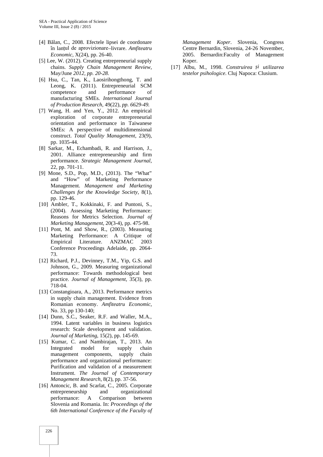- [4] B lan, C., 2008. Efectele lipsei de coordonare în lanțul de aprovizionare–livrare. *Amfiteatru Economic*, X(24), pp. 26-40.
- [5] Lee, W. (2012). Creating entrepreneurial supply chains. *Supply Chain Management Review*, May/June *2012, pp. 20-28.*
- [6] Hsu, C., Tan, K., Laosirihongthong, T. and Leong, K. (2011). Entrepreneurial SCM competence and performance of manufacturing SMEs. *International Journal of Production Research,* 49(22), *pp. 6629-49.*
- [7] Wang, H. and Yen, Y., 2012. An empirical exploration of corporate entrepreneurial orientation and performance in Taiwanese SMEs: A perspective of multidimensional construct. *Total Quality Management*, 23(9), pp. 1035-44.
- [8] Sarkar, M., Echambadi, R. and Harrison, J., 2001. Alliance entrepreneurship and firm performance. *Strategic Management Journal*, 22, pp. 701-11.
- [9] Mone, S.D., Pop, M.D., (2013). The "What" and "How" of Marketing Performance Management. *Management and Marketing Challenges for the Knowledge Society,* 8(1), pp. 129-46.
- [10] Ambler, T., Kokkinaki, F. and Puntoni, S., (2004). Assessing Marketing Performance: Reasons for Metrics Selection. *Journal of Marketing Management,* 20(3-4), pp. 475-98.
- [11] Pont, M. and Show, R., (2003). Measuring Marketing Performance: A Critique of Empirical Literature. ANZMAC 2003 Conference Proceedings Adelaide, pp. 2064- 73.
- [12] Richard, P.J., Devinney, T.M., Yip, G.S. and Johnson, G., 2009. Measuring organizational performance: Towards methodological best practice. *Journal of Management*, 35(3), pp. 718-04.
- [13] Constangioara, A., 2013. Performance metrics in supply chain management. Evidence from Romanian economy. *Amfiteatru Economic*, No. 33, pp 130-140;
- [14] Dunn, S.C., Seaker, R.F. and Waller, M.A., 1994. Latent variables in business logistics research: Scale development and validation. *Journal of Marketing*, 15(2), pp. 145-69.
- [15] Kumar, C. and Nambirajan, T., 2013. An Integrated model for supply chain management components, supply chain performance and organizational performance: Purification and validation of a measurement Instrument. *The Journal of Contemporary Management Research*, 8(2), pp. 37-56.
- [16] Antoncic, B. and Scarlat, C., 2005. Corporate entrepreneurship and organizational performance: A Comparison between Slovenia and Romania. In: *Proceedings of the 6th International Conference of the Faculty of*

*Management Koper*. Slovenia, Congress Centre Bernardin, Slovenia, 24-26 November, 2005. Bernardin:Faculty of Management Koper.

[17] Albu, M., 1998. *Construirea și utilizarea testelor psihologice*. Cluj Napoca: Clusium.